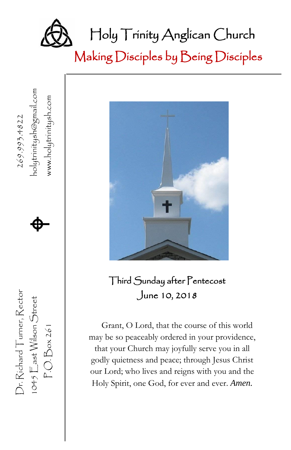

Making Disciples by Being Disciples

nolytrinitysh@gmail.com 1045  $\mathbb{E}$ ast Wilson Street **Algebury** holytrinitysh@gmail.com www.holytrinitysh.com P.O. Box 261 www.holytrinitysh.com Dr. Richard Turner, Rector  $269.993.4822$  $\spadesuit$ Dr. Richard Turner, Rector 1045  $\mathbb{E}$  ast Wilson Street P.O. Box 261

、



Third Sunday after Pentecost June 10, 2018

Grant, O Lord, that the course of this world may be so peaceably ordered in your providence, that your Church may joyfully serve you in all godly quietness and peace; through Jesus Christ our Lord; who lives and reigns with you and the Holy Spirit, one God, for ever and ever. *Amen.*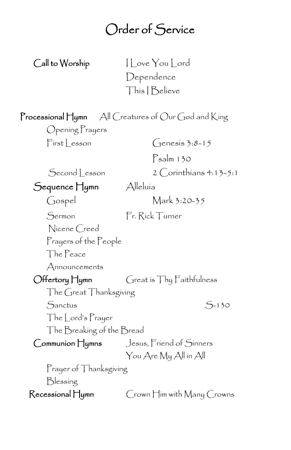### Order of Service

Call to Worship I Love You Lord Dependence This I Believe

| Opening Prayers           | <b>Processional Hymn</b> $\forall$ All Creatures of Our God and King |  |
|---------------------------|----------------------------------------------------------------------|--|
| First Lesson              | $\int$ enesis 3:8-15                                                 |  |
|                           | Psalm 130                                                            |  |
| Second Lesson             | $2$ Corinthians 4:13-5:1                                             |  |
| Sequence Hymn             | Alleluía                                                             |  |
| Gospel                    | Mark 3:20-35                                                         |  |
| Sermon                    | Fr. Rick Turner                                                      |  |
| Nicene Creed              |                                                                      |  |
| Prayers of the People     |                                                                      |  |
| The Peace                 |                                                                      |  |
| Announcements             |                                                                      |  |
| Offertory Hymn            | Great is Thy Faithfulness                                            |  |
| The Great Thanksgiving    |                                                                      |  |
| Sanctus                   | $5 - 130$                                                            |  |
| The Lord's Prayer         |                                                                      |  |
| The Breaking of the Bread |                                                                      |  |
|                           | Communion Hymns Jesus, Friend of Sinners                             |  |
|                           | You Are My All in All                                                |  |
| Prayer of Thanksgiving    |                                                                      |  |
| Blessing                  |                                                                      |  |
| Recessional Hymn          | Crown Him with Many Crowns                                           |  |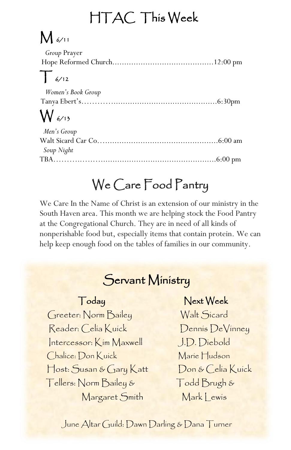## HTAC This Week

# $M \omega_{11}$

| <i>Group</i> Prayer |  |
|---------------------|--|
|                     |  |
| ╼┯╾                 |  |

### $\frac{1}{6}$ /12

| Women's Book Group |  |
|--------------------|--|
|                    |  |
|                    |  |

## $W_{6/15}$

| Men's Group |  |
|-------------|--|
|             |  |
| Soup Night  |  |
|             |  |

## We Care Food Pantry

We Care In the Name of Christ is an extension of our ministry in the South Haven area. This month we are helping stock the Food Pantry at the Congregational Church. They are in need of all kinds of nonperishable food but, especially items that contain protein. We can help keep enough food on the tables of families in our community.

# Servant Ministry

 Host: Susan & Gary Katt Don & Celia Kuick Reader: Celia Kuick Dennis DeVinney Intercessor: Kim Maxwell J.D. Diebold Chalice: Don Kuick Marie Hudson Tellers: Norm Bailey & Todd Brugh & Margaret Smith Mark Lewis

### Today Next Week

Greeter: Norm Bailey Walt Sicard

June Altar Guild: Dawn Darling & Dana Turner